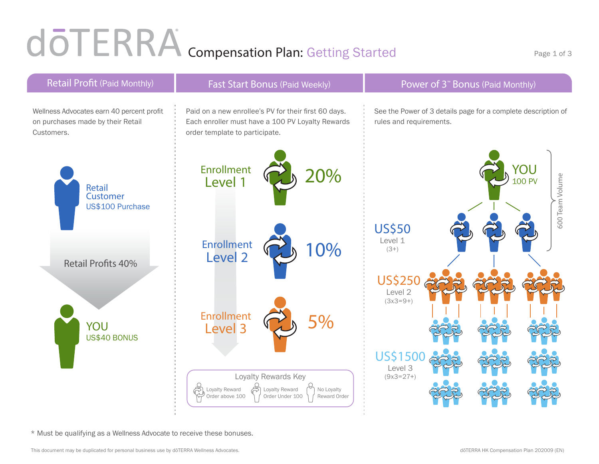## COTERRA Compensation Plan: Getting Started Page 1 of 3



\* Must be qualifying as a Wellness Advocate to receive these bonuses.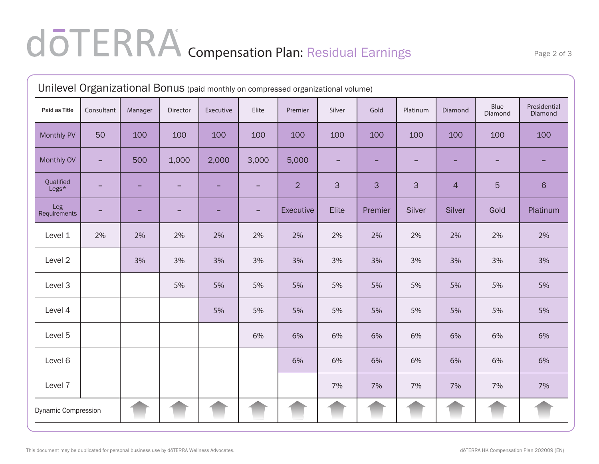## COTERRA Compensation Plan: Residual Earnings Page 2 of 3

| Unilevel Organizational Bonus (paid monthly on compressed organizational volume) |            |         |          |           |       |                |        |         |          |                |                 |                         |
|----------------------------------------------------------------------------------|------------|---------|----------|-----------|-------|----------------|--------|---------|----------|----------------|-----------------|-------------------------|
| Paid as Title                                                                    | Consultant | Manager | Director | Executive | Elite | Premier        | Silver | Gold    | Platinum | Diamond        | Blue<br>Diamond | Presidential<br>Diamond |
| Monthly PV                                                                       | 50         | 100     | 100      | 100       | 100   | 100            | 100    | 100     | 100      | 100            | 100             | 100                     |
| Monthly OV                                                                       | -          | 500     | 1,000    | 2,000     | 3,000 | 5,000          | -      | -       | -        | н              | ٠               |                         |
| Qualified<br>Legs*                                                               |            | -       |          |           |       | $\overline{2}$ | 3      | 3       | 3        | $\overline{4}$ | $\overline{5}$  | $\,$ 6 $\,$             |
| Leg<br>Requirements                                                              |            |         |          |           | ۰     | Executive      | Elite  | Premier | Silver   | Silver         | Gold            | Platinum                |
| Level 1                                                                          | 2%         | 2%      | 2%       | 2%        | 2%    | 2%             | 2%     | 2%      | 2%       | 2%             | 2%              | 2%                      |
| Level 2                                                                          |            | 3%      | $3\%$    | 3%        | 3%    | $3\%$          | $3\%$  | 3%      | 3%       | $3\%$          | 3%              | 3%                      |
| Level 3                                                                          |            |         | 5%       | 5%        | 5%    | 5%             | 5%     | 5%      | 5%       | 5%             | 5%              | 5%                      |
| Level 4                                                                          |            |         |          | 5%        | 5%    | 5%             | 5%     | 5%      | 5%       | 5%             | 5%              | 5%                      |
| Level 5                                                                          |            |         |          |           | 6%    | 6%             | 6%     | 6%      | 6%       | 6%             | 6%              | 6%                      |
| Level 6                                                                          |            |         |          |           |       | 6%             | 6%     | 6%      | 6%       | 6%             | 6%              | 6%                      |
| Level 7                                                                          |            |         |          |           |       |                | 7%     | 7%      | 7%       | 7%             | 7%              | 7%                      |
| <b>Dynamic Compression</b>                                                       |            |         |          |           |       |                |        |         |          |                |                 |                         |